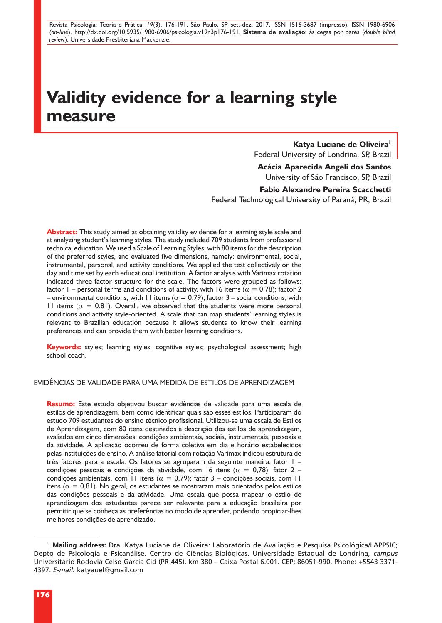# **Validity evidence for a learning style measure**

**Katya Luciane de Oliveira<sup>1</sup>** 

Federal University of Londrina, SP, Brazil

**Acácia Aparecida Angeli dos Santos** University of São Francisco, SP, Brazil

**Fabio Alexandre Pereira Scacchetti**

Federal Technological University of Paraná, PR, Brazil

**Abstract:** This study aimed at obtaining validity evidence for a learning style scale and at analyzing student's learning styles. The study included 709 students from professional technical education. We used a Scale of Learning Styles, with 80 items for the description of the preferred styles, and evaluated five dimensions, namely: environmental, social, instrumental, personal, and activity conditions. We applied the test collectively on the day and time set by each educational institution. A factor analysis with Varimax rotation indicated three-factor structure for the scale. The factors were grouped as follows: factor 1 – personal terms and conditions of activity, with 16 items ( $\alpha = 0.78$ ); factor 2 – environmental conditions, with 11 items ( $\alpha$  = 0.79); factor 3 – social conditions, with 11 items ( $\alpha = 0.81$ ). Overall, we observed that the students were more personal conditions and activity style-oriented. A scale that can map students' learning styles is relevant to Brazilian education because it allows students to know their learning preferences and can provide them with better learning conditions.

**Keywords:** styles; learning styles; cognitive styles; psychological assessment; high school coach.

#### EVIDÊNCIAS DE VALIDADE PARA UMA MEDIDA DE ESTILOS DE APRENDIZAGEM

**Resumo:** Este estudo objetivou buscar evidências de validade para uma escala de estilos de aprendizagem, bem como identificar quais são esses estilos. Participaram do estudo 709 estudantes do ensino técnico profissional. Utilizou-se uma escala de Estilos de Aprendizagem, com 80 itens destinados à descrição dos estilos de aprendizagem, avaliados em cinco dimensões: condições ambientais, sociais, instrumentais, pessoais e da atividade. A aplicação ocorreu de forma coletiva em dia e horário estabelecidos pelas instituições de ensino. A análise fatorial com rotação Varimax indicou estrutura de três fatores para a escala. Os fatores se agruparam da seguinte maneira: fator 1 – condições pessoais e condições da atividade, com 16 itens ( $\alpha = 0.78$ ); fator 2 – condições ambientais, com 11 itens ( $\alpha = 0.79$ ); fator 3 – condições sociais, com 11 itens ( $\alpha = 0.81$ ). No geral, os estudantes se mostraram mais orientados pelos estilos das condições pessoais e da atividade. Uma escala que possa mapear o estilo de aprendizagem dos estudantes parece ser relevante para a educação brasileira por permitir que se conheça as preferências no modo de aprender, podendo propiciar-lhes melhores condições de aprendizado.

<sup>1</sup> **Mailing address:** Dra. Katya Luciane de Oliveira: Laboratório de Avaliação e Pesquisa Psicológica/LAPPSIC; Depto de Psicologia e Psicanálise. Centro de Ciências Biológicas. Universidade Estadual de Londrina, *campus* Universitário Rodovia Celso Garcia Cid (PR 445), km 380 – Caixa Postal 6.001. CEP: 86051-990. Phone: +5543 3371- 4397. *E-mail:* katyauel@gmail.com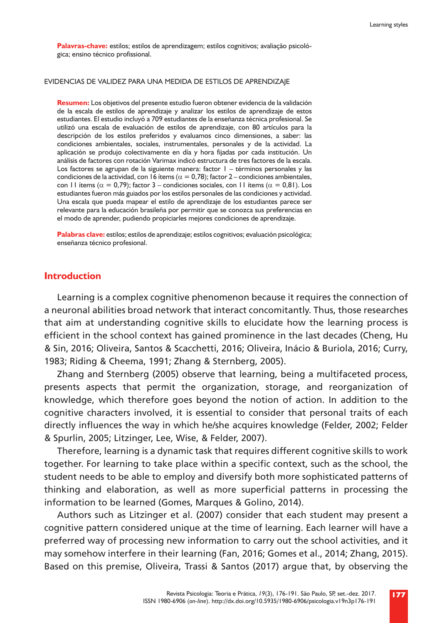**Palavras-chave:** estilos; estilos de aprendizagem; estilos cognitivos; avaliação psicológica; ensino técnico profissional.

#### EVIDENCIAS DE VALIDEZ PARA UNA MEDIDA DE ESTILOS DE APRENDIZAJE

**Resumen:** Los objetivos del presente estudio fueron obtener evidencia de la validación de la escala de estilos de aprendizaje y analizar los estilos de aprendizaje de estos estudiantes. El estudio incluyó a 709 estudiantes de la enseñanza técnica profesional. Se utilizó una escala de evaluación de estilos de aprendizaje, con 80 artículos para la descripción de los estilos preferidos y evaluamos cinco dimensiones, a saber: las condiciones ambientales, sociales, instrumentales, personales y de la actividad. La aplicación se produjo colectivamente en día y hora fijadas por cada institución. Un análisis de factores con rotación Varimax indicó estructura de tres factores de la escala. Los factores se agrupan de la siguiente manera: factor 1 – términos personales y las condiciones de la actividad, con 16 ítems ( $\alpha = 0.78$ ); factor 2 – condiciones ambientales, con 11 ítems ( $\alpha = 0.79$ ); factor 3 – condiciones sociales, con 11 ítems ( $\alpha = 0.81$ ). Los estudiantes fueron más guiados por los estilos personales de las condiciones y actividad. Una escala que pueda mapear el estilo de aprendizaje de los estudiantes parece ser relevante para la educación brasileña por permitir que se conozca sus preferencias en el modo de aprender, pudiendo propiciarles mejores condiciones de aprendizaje.

Palabras clave: estilos; estilos de aprendizaje; estilos cognitivos; evaluación psicológica; enseñanza técnico profesional.

#### **Introduction**

Learning is a complex cognitive phenomenon because it requires the connection of a neuronal abilities broad network that interact concomitantly. Thus, those researches that aim at understanding cognitive skills to elucidate how the learning process is efficient in the school context has gained prominence in the last decades (Cheng, Hu & Sin, 2016; Oliveira, Santos & Scacchetti, 2016; Oliveira, Inácio & Buriola, 2016; Curry, 1983; Riding & Cheema, 1991; Zhang & Sternberg, 2005).

Zhang and Sternberg (2005) observe that learning, being a multifaceted process, presents aspects that permit the organization, storage, and reorganization of knowledge, which therefore goes beyond the notion of action. In addition to the cognitive characters involved, it is essential to consider that personal traits of each directly influences the way in which he/she acquires knowledge (Felder, 2002; Felder & Spurlin, 2005; Litzinger, Lee, Wise, & Felder, 2007).

Therefore, learning is a dynamic task that requires different cognitive skills to work together. For learning to take place within a specific context, such as the school, the student needs to be able to employ and diversify both more sophisticated patterns of thinking and elaboration, as well as more superficial patterns in processing the information to be learned (Gomes, Marques & Golino, 2014).

Authors such as Litzinger et al. (2007) consider that each student may present a cognitive pattern considered unique at the time of learning. Each learner will have a preferred way of processing new information to carry out the school activities, and it may somehow interfere in their learning (Fan, 2016; Gomes et al., 2014; Zhang, 2015). Based on this premise, Oliveira, Trassi & Santos (2017) argue that, by observing the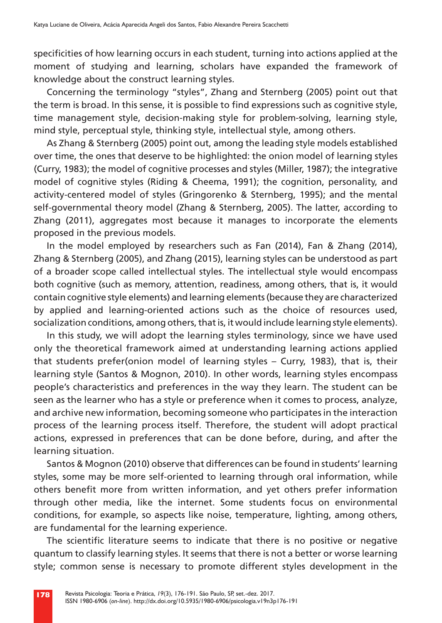specificities of how learning occurs in each student, turning into actions applied at the moment of studying and learning, scholars have expanded the framework of knowledge about the construct learning styles.

Concerning the terminology "styles", Zhang and Sternberg (2005) point out that the term is broad. In this sense, it is possible to find expressions such as cognitive style, time management style, decision-making style for problem-solving, learning style, mind style, perceptual style, thinking style, intellectual style, among others.

As Zhang & Sternberg (2005) point out, among the leading style models established over time, the ones that deserve to be highlighted: the onion model of learning styles (Curry, 1983); the model of cognitive processes and styles (Miller, 1987); the integrative model of cognitive styles (Riding & Cheema, 1991); the cognition, personality, and activity-centered model of styles (Gringorenko & Sternberg, 1995); and the mental self-governmental theory model (Zhang & Sternberg, 2005). The latter, according to Zhang (2011), aggregates most because it manages to incorporate the elements proposed in the previous models.

In the model employed by researchers such as Fan (2014), Fan & Zhang (2014), Zhang & Sternberg (2005), and Zhang (2015), learning styles can be understood as part of a broader scope called intellectual styles. The intellectual style would encompass both cognitive (such as memory, attention, readiness, among others, that is, it would contain cognitive style elements) and learning elements (because they are characterized by applied and learning-oriented actions such as the choice of resources used, socialization conditions, among others, that is, it would include learning style elements).

In this study, we will adopt the learning styles terminology, since we have used only the theoretical framework aimed at understanding learning actions applied that students prefer(onion model of learning styles – Curry, 1983), that is, their learning style (Santos & Mognon, 2010). In other words, learning styles encompass people's characteristics and preferences in the way they learn. The student can be seen as the learner who has a style or preference when it comes to process, analyze, and archive new information, becoming someone who participates in the interaction process of the learning process itself. Therefore, the student will adopt practical actions, expressed in preferences that can be done before, during, and after the learning situation.

Santos & Mognon (2010) observe that differences can be found in students' learning styles, some may be more self-oriented to learning through oral information, while others benefit more from written information, and yet others prefer information through other media, like the internet. Some students focus on environmental conditions, for example, so aspects like noise, temperature, lighting, among others, are fundamental for the learning experience.

The scientific literature seems to indicate that there is no positive or negative quantum to classify learning styles. It seems that there is not a better or worse learning style; common sense is necessary to promote different styles development in the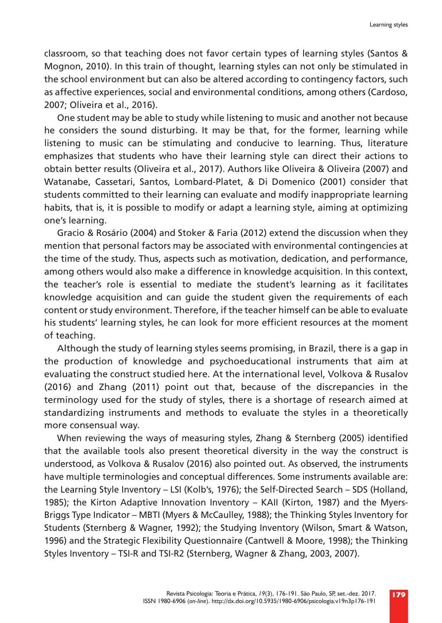classroom, so that teaching does not favor certain types of learning styles (Santos & Mognon, 2010). In this train of thought, learning styles can not only be stimulated in the school environment but can also be altered according to contingency factors, such as affective experiences, social and environmental conditions, among others (Cardoso, 2007; Oliveira et al., 2016).

One student may be able to study while listening to music and another not because he considers the sound disturbing. It may be that, for the former, learning while listening to music can be stimulating and conducive to learning. Thus, literature emphasizes that students who have their learning style can direct their actions to obtain better results (Oliveira et al., 2017). Authors like Oliveira & Oliveira (2007) and Watanabe, Cassetari, Santos, Lombard-Platet, & Di Domenico (2001) consider that students committed to their learning can evaluate and modify inappropriate learning habits, that is, it is possible to modify or adapt a learning style, aiming at optimizing one's learning.

Gracio & Rosário (2004) and Stoker & Faria (2012) extend the discussion when they mention that personal factors may be associated with environmental contingencies at the time of the study. Thus, aspects such as motivation, dedication, and performance, among others would also make a difference in knowledge acquisition. In this context, the teacher's role is essential to mediate the student's learning as it facilitates knowledge acquisition and can guide the student given the requirements of each content or study environment. Therefore, if the teacher himself can be able to evaluate his students' learning styles, he can look for more efficient resources at the moment of teaching.

Although the study of learning styles seems promising, in Brazil, there is a gap in the production of knowledge and psychoeducational instruments that aim at evaluating the construct studied here. At the international level, Volkova & Rusalov (2016) and Zhang (2011) point out that, because of the discrepancies in the terminology used for the study of styles, there is a shortage of research aimed at standardizing instruments and methods to evaluate the styles in a theoretically more consensual way.

When reviewing the ways of measuring styles, Zhang & Sternberg (2005) identified that the available tools also present theoretical diversity in the way the construct is understood, as Volkova & Rusalov (2016) also pointed out. As observed, the instruments have multiple terminologies and conceptual differences. Some instruments available are: the Learning Style Inventory – LSI (Kolb's, 1976); the Self-Directed Search – SDS (Holland, 1985); the Kirton Adaptive Innovation Inventory – KAII (Kirton, 1987) and the Myers-Briggs Type Indicator – MBTI (Myers & McCaulley, 1988); the Thinking Styles Inventory for Students (Sternberg & Wagner, 1992); the Studying Inventory (Wilson, Smart & Watson, 1996) and the Strategic Flexibility Questionnaire (Cantwell & Moore, 1998); the Thinking Styles Inventory – TSI-R and TSI-R2 (Sternberg, Wagner & Zhang, 2003, 2007).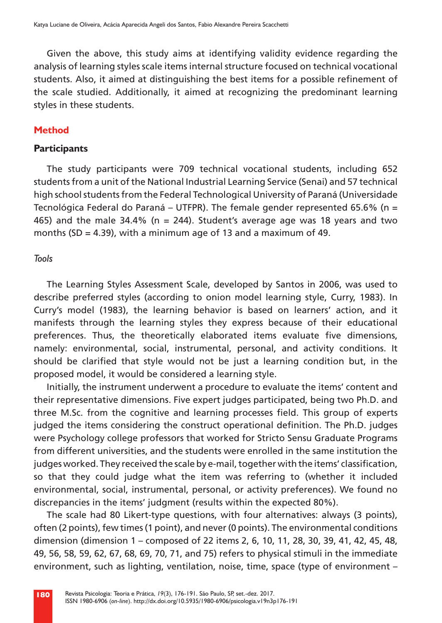Given the above, this study aims at identifying validity evidence regarding the analysis of learning styles scale items internal structure focused on technical vocational students. Also, it aimed at distinguishing the best items for a possible refinement of the scale studied. Additionally, it aimed at recognizing the predominant learning styles in these students.

## **Method**

#### **Participants**

The study participants were 709 technical vocational students, including 652 students from a unit of the National Industrial Learning Service (Senai) and 57 technical high school students from the Federal Technological University of Paraná (Universidade Tecnológica Federal do Paraná – UTFPR). The female gender represented 65.6% (n = 465) and the male 34.4% (n = 244). Student's average age was 18 years and two months (SD = 4.39), with a minimum age of 13 and a maximum of 49.

### *Tools*

The Learning Styles Assessment Scale, developed by Santos in 2006, was used to describe preferred styles (according to onion model learning style, Curry, 1983). In Curry's model (1983), the learning behavior is based on learners' action, and it manifests through the learning styles they express because of their educational preferences. Thus, the theoretically elaborated items evaluate five dimensions, namely: environmental, social, instrumental, personal, and activity conditions. It should be clarified that style would not be just a learning condition but, in the proposed model, it would be considered a learning style.

Initially, the instrument underwent a procedure to evaluate the items' content and their representative dimensions. Five expert judges participated, being two Ph.D. and three M.Sc. from the cognitive and learning processes field. This group of experts judged the items considering the construct operational definition. The Ph.D. judges were Psychology college professors that worked for Stricto Sensu Graduate Programs from different universities, and the students were enrolled in the same institution the judges worked. They received the scale by e-mail, together with the items' classification, so that they could judge what the item was referring to (whether it included environmental, social, instrumental, personal, or activity preferences). We found no discrepancies in the items' judgment (results within the expected 80%).

The scale had 80 Likert-type questions, with four alternatives: always (3 points), often (2 points), few times (1 point), and never (0 points). The environmental conditions dimension (dimension 1 – composed of 22 items 2, 6, 10, 11, 28, 30, 39, 41, 42, 45, 48, 49, 56, 58, 59, 62, 67, 68, 69, 70, 71, and 75) refers to physical stimuli in the immediate environment, such as lighting, ventilation, noise, time, space (type of environment –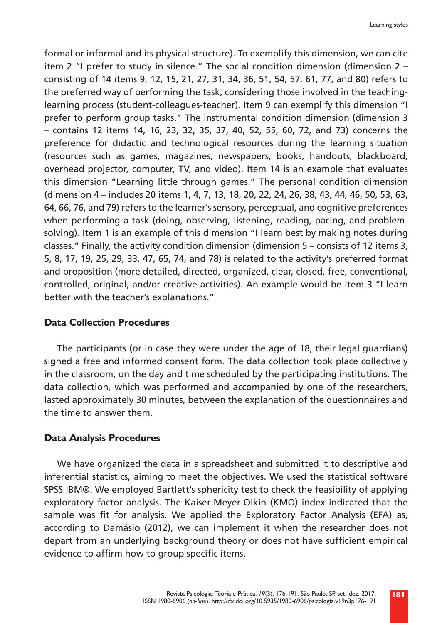formal or informal and its physical structure). To exemplify this dimension, we can cite item 2 "I prefer to study in silence." The social condition dimension (dimension 2 – consisting of 14 items 9, 12, 15, 21, 27, 31, 34, 36, 51, 54, 57, 61, 77, and 80) refers to the preferred way of performing the task, considering those involved in the teachinglearning process (student-colleagues-teacher). Item 9 can exemplify this dimension "I prefer to perform group tasks." The instrumental condition dimension (dimension 3 – contains 12 items 14, 16, 23, 32, 35, 37, 40, 52, 55, 60, 72, and 73) concerns the preference for didactic and technological resources during the learning situation (resources such as games, magazines, newspapers, books, handouts, blackboard, overhead projector, computer, TV, and video). Item 14 is an example that evaluates this dimension "Learning little through games." The personal condition dimension (dimension 4 – includes 20 items 1, 4, 7, 13, 18, 20, 22, 24, 26, 38, 43, 44, 46, 50, 53, 63, 64, 66, 76, and 79) refers to the learner's sensory, perceptual, and cognitive preferences when performing a task (doing, observing, listening, reading, pacing, and problemsolving). Item 1 is an example of this dimension "I learn best by making notes during classes." Finally, the activity condition dimension (dimension 5 – consists of 12 items 3, 5, 8, 17, 19, 25, 29, 33, 47, 65, 74, and 78) is related to the activity's preferred format and proposition (more detailed, directed, organized, clear, closed, free, conventional, controlled, original, and/or creative activities). An example would be item 3 "I learn better with the teacher's explanations."

#### **Data Collection Procedures**

The participants (or in case they were under the age of 18, their legal guardians) signed a free and informed consent form. The data collection took place collectively in the classroom, on the day and time scheduled by the participating institutions. The data collection, which was performed and accompanied by one of the researchers, lasted approximately 30 minutes, between the explanation of the questionnaires and the time to answer them.

#### **Data Analysis Procedures**

We have organized the data in a spreadsheet and submitted it to descriptive and inferential statistics, aiming to meet the objectives. We used the statistical software SPSS IBM®. We employed Bartlett's sphericity test to check the feasibility of applying exploratory factor analysis. The Kaiser-Meyer-Olkin (KMO) index indicated that the sample was fit for analysis. We applied the Exploratory Factor Analysis (EFA) as, according to Damásio (2012), we can implement it when the researcher does not depart from an underlying background theory or does not have sufficient empirical evidence to affirm how to group specific items.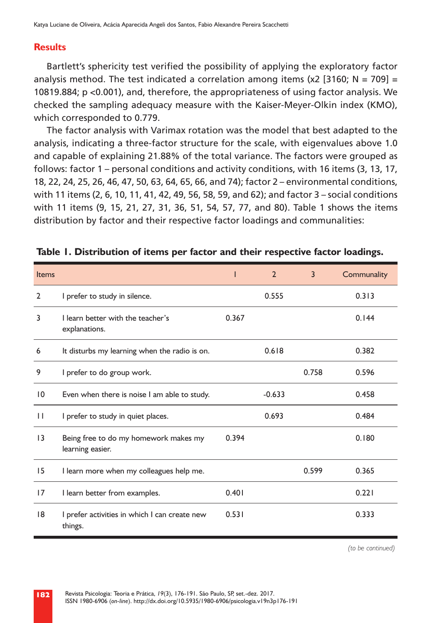### **Results**

Bartlett's sphericity test verified the possibility of applying the exploratory factor analysis method. The test indicated a correlation among items (x2 [3160; N = 709] = 10819.884; p <0.001), and, therefore, the appropriateness of using factor analysis. We checked the sampling adequacy measure with the Kaiser-Meyer-Olkin index (KMO), which corresponded to 0.779.

The factor analysis with Varimax rotation was the model that best adapted to the analysis, indicating a three-factor structure for the scale, with eigenvalues above 1.0 and capable of explaining 21.88% of the total variance. The factors were grouped as follows: factor 1 – personal conditions and activity conditions, with 16 items (3, 13, 17, 18, 22, 24, 25, 26, 46, 47, 50, 63, 64, 65, 66, and 74); factor 2 – environmental conditions, with 11 items (2, 6, 10, 11, 41, 42, 49, 56, 58, 59, and 62); and factor 3 – social conditions with 11 items (9, 15, 21, 27, 31, 36, 51, 54, 57, 77, and 80). Table 1 shows the items distribution by factor and their respective factor loadings and communalities:

| <b>Items</b>    |                                                           |       | $\overline{2}$ | 3     | Communality |
|-----------------|-----------------------------------------------------------|-------|----------------|-------|-------------|
| $\overline{2}$  | I prefer to study in silence.                             |       | 0.555          |       | 0.313       |
| 3               | I learn better with the teacher's<br>explanations.        | 0.367 |                |       | 0.144       |
| 6               | It disturbs my learning when the radio is on.             |       | 0.618          |       | 0.382       |
| 9               | I prefer to do group work.                                |       |                | 0.758 | 0.596       |
| $\overline{0}$  | Even when there is noise I am able to study.              |       | $-0.633$       |       | 0.458       |
| $\mathbf{H}$    | I prefer to study in quiet places.                        |       | 0.693          |       | 0.484       |
| $\overline{13}$ | Being free to do my homework makes my<br>learning easier. | 0.394 |                |       | 0.180       |
| 15              | I learn more when my colleagues help me.                  |       |                | 0.599 | 0.365       |
| 17              | I learn better from examples.                             | 0.401 |                |       | 0.221       |
| 18              | I prefer activities in which I can create new<br>things.  | 0.531 |                |       | 0.333       |

#### **Table 1. Distribution of items per factor and their respective factor loadings.**

*(to be continued)*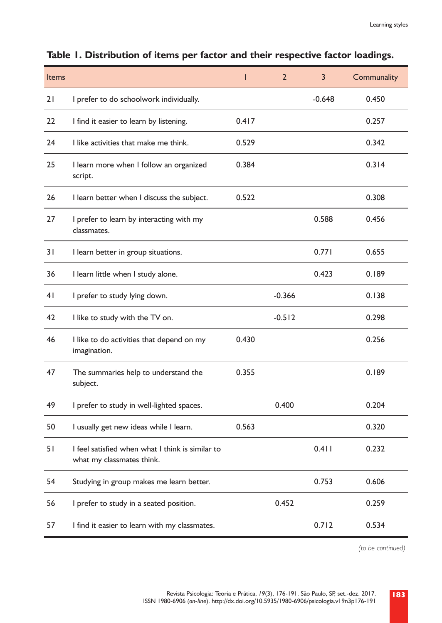| <b>Items</b> |                                                                               | Т     | $\overline{2}$ | 3        | Communality |
|--------------|-------------------------------------------------------------------------------|-------|----------------|----------|-------------|
| 21           | I prefer to do schoolwork individually.                                       |       |                | $-0.648$ | 0.450       |
| 22           | I find it easier to learn by listening.                                       | 0.417 |                |          | 0.257       |
| 24           | I like activities that make me think.                                         | 0.529 |                |          | 0.342       |
| 25           | I learn more when I follow an organized<br>script.                            | 0.384 |                |          | 0.314       |
| 26           | I learn better when I discuss the subject.                                    | 0.522 |                |          | 0.308       |
| 27           | I prefer to learn by interacting with my<br>classmates.                       |       |                | 0.588    | 0.456       |
| 31           | I learn better in group situations.                                           |       |                | 0.771    | 0.655       |
| 36           | I learn little when I study alone.                                            |       |                | 0.423    | 0.189       |
| 41           | I prefer to study lying down.                                                 |       | $-0.366$       |          | 0.138       |
| 42           | I like to study with the TV on.                                               |       | $-0.512$       |          | 0.298       |
| 46           | I like to do activities that depend on my<br>imagination.                     | 0.430 |                |          | 0.256       |
| 47           | The summaries help to understand the<br>subject.                              | 0.355 |                |          | 0.189       |
| 49           | I prefer to study in well-lighted spaces.                                     |       | 0.400          |          | 0.204       |
| 50           | I usually get new ideas while I learn.                                        | 0.563 |                |          | 0.320       |
| 51           | I feel satisfied when what I think is similar to<br>what my classmates think. |       |                | 0.411    | 0.232       |
| 54           | Studying in group makes me learn better.                                      |       |                | 0.753    | 0.606       |
| 56           | I prefer to study in a seated position.                                       |       | 0.452          |          | 0.259       |
| 57           | I find it easier to learn with my classmates.                                 |       |                | 0.712    | 0.534       |

# **Table 1. Distribution of items per factor and their respective factor loadings.**

*(to be continued)*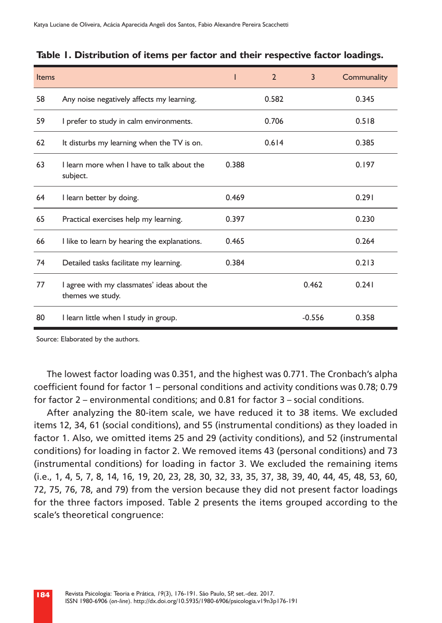| <b>Items</b> |                                                                 |       | $\overline{2}$ | 3        | Communality |
|--------------|-----------------------------------------------------------------|-------|----------------|----------|-------------|
| 58           | Any noise negatively affects my learning.                       |       | 0.582          |          | 0.345       |
| 59           | I prefer to study in calm environments.                         |       | 0.706          |          | 0.518       |
| 62           | It disturbs my learning when the TV is on.                      |       | 0.614          |          | 0.385       |
| 63           | I learn more when I have to talk about the<br>subject.          | 0.388 |                |          | 0.197       |
| 64           | I learn better by doing.                                        | 0.469 |                |          | 0.291       |
| 65           | Practical exercises help my learning.                           | 0.397 |                |          | 0.230       |
| 66           | I like to learn by hearing the explanations.                    | 0.465 |                |          | 0.264       |
| 74           | Detailed tasks facilitate my learning.                          | 0.384 |                |          | 0.213       |
| 77           | I agree with my classmates' ideas about the<br>themes we study. |       |                | 0.462    | 0.241       |
| 80           | I learn little when I study in group.                           |       |                | $-0.556$ | 0.358       |

#### **Table 1. Distribution of items per factor and their respective factor loadings.**

Source: Elaborated by the authors.

The lowest factor loading was 0.351, and the highest was 0.771. The Cronbach's alpha coefficient found for factor 1 – personal conditions and activity conditions was 0.78; 0.79 for factor 2 – environmental conditions; and 0.81 for factor 3 – social conditions.

After analyzing the 80-item scale, we have reduced it to 38 items. We excluded items 12, 34, 61 (social conditions), and 55 (instrumental conditions) as they loaded in factor 1. Also, we omitted items 25 and 29 (activity conditions), and 52 (instrumental conditions) for loading in factor 2. We removed items 43 (personal conditions) and 73 (instrumental conditions) for loading in factor 3. We excluded the remaining items (i.e., 1, 4, 5, 7, 8, 14, 16, 19, 20, 23, 28, 30, 32, 33, 35, 37, 38, 39, 40, 44, 45, 48, 53, 60, 72, 75, 76, 78, and 79) from the version because they did not present factor loadings for the three factors imposed. Table 2 presents the items grouped according to the scale's theoretical congruence: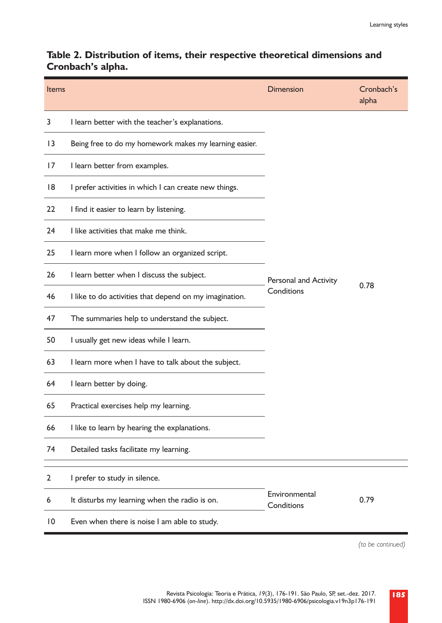# **Table 2. Distribution of items, their respective theoretical dimensions and Cronbach's alpha.**

| <b>Items</b>    |                                                        | <b>Dimension</b>            | Cronbach's<br>alpha |  |
|-----------------|--------------------------------------------------------|-----------------------------|---------------------|--|
| 3               | I learn better with the teacher's explanations.        |                             |                     |  |
| $\overline{13}$ | Being free to do my homework makes my learning easier. |                             |                     |  |
| 17              | I learn better from examples.                          |                             |                     |  |
| 8               | I prefer activities in which I can create new things.  |                             |                     |  |
| 22              | I find it easier to learn by listening.                |                             |                     |  |
| 24              | I like activities that make me think.                  |                             |                     |  |
| 25              | I learn more when I follow an organized script.        |                             | 0.78                |  |
| 26              | I learn better when I discuss the subject.             | Personal and Activity       |                     |  |
| 46              | I like to do activities that depend on my imagination. | Conditions                  |                     |  |
| 47              | The summaries help to understand the subject.          |                             |                     |  |
| 50              | I usually get new ideas while I learn.                 |                             |                     |  |
| 63              | I learn more when I have to talk about the subject.    |                             |                     |  |
| 64              | I learn better by doing.                               |                             |                     |  |
| 65              | Practical exercises help my learning.                  |                             |                     |  |
| 66              | I like to learn by hearing the explanations.           |                             |                     |  |
| 74              | Detailed tasks facilitate my learning.                 |                             |                     |  |
| 2               | I prefer to study in silence.                          |                             |                     |  |
| 6               | It disturbs my learning when the radio is on.          | Environmental<br>Conditions | 0.79                |  |
| 10              | Even when there is noise I am able to study.           |                             |                     |  |

*(to be continued)*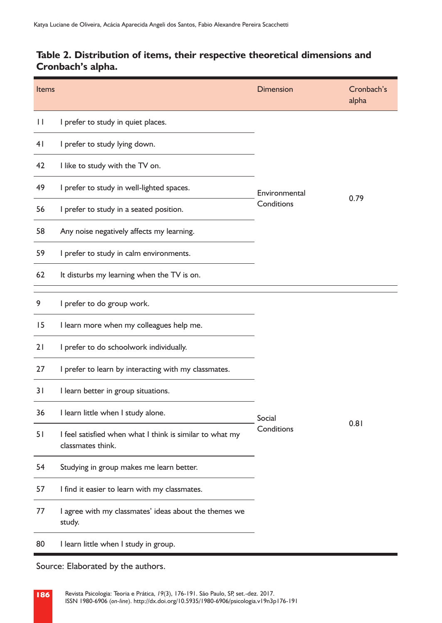# **Table 2. Distribution of items, their respective theoretical dimensions and Cronbach's alpha.**

| Items |                                                                               | <b>Dimension</b> | Cronbach's<br>alpha |  |
|-------|-------------------------------------------------------------------------------|------------------|---------------------|--|
| П     | I prefer to study in quiet places.                                            |                  |                     |  |
| 41    | I prefer to study lying down.                                                 |                  | 0.79                |  |
| 42    | I like to study with the TV on.                                               |                  |                     |  |
| 49    | I prefer to study in well-lighted spaces.                                     | Environmental    |                     |  |
| 56    | I prefer to study in a seated position.                                       | Conditions       |                     |  |
| 58    | Any noise negatively affects my learning.                                     |                  |                     |  |
| 59    | I prefer to study in calm environments.                                       |                  |                     |  |
| 62    | It disturbs my learning when the TV is on.                                    |                  |                     |  |
| 9     | I prefer to do group work.                                                    |                  |                     |  |
| 15    | I learn more when my colleagues help me.                                      |                  |                     |  |
| 21    | I prefer to do schoolwork individually.                                       |                  |                     |  |
| 27    | I prefer to learn by interacting with my classmates.                          |                  |                     |  |
| 31    | I learn better in group situations.                                           |                  |                     |  |
| 36    | I learn little when I study alone.                                            | Social           | 0.81                |  |
| 51    | I feel satisfied when what I think is similar to what my<br>classmates think. | Conditions       |                     |  |
| 54    | Studying in group makes me learn better.                                      |                  |                     |  |
| 57    | I find it easier to learn with my classmates.                                 |                  |                     |  |
| 77    | I agree with my classmates' ideas about the themes we<br>study.               |                  |                     |  |
| 80    | I learn little when I study in group.                                         |                  |                     |  |

Source: Elaborated by the authors.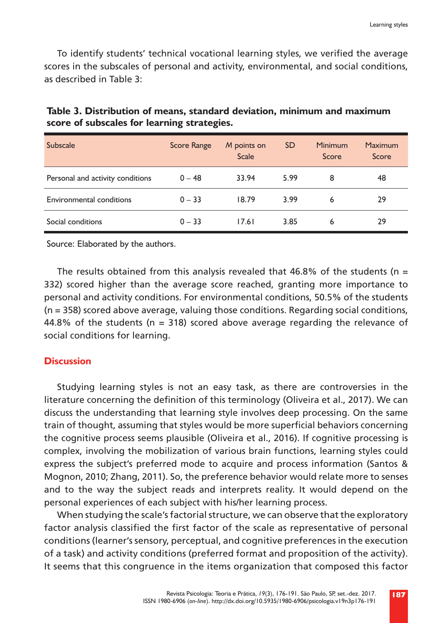To identify students' technical vocational learning styles, we verified the average scores in the subscales of personal and activity, environmental, and social conditions, as described in Table 3:

| <b>Subscale</b>                  | Score Range | M points on<br><b>Scale</b> | <b>SD</b> | <b>Minimum</b><br>Score | Maximum<br>Score |
|----------------------------------|-------------|-----------------------------|-----------|-------------------------|------------------|
| Personal and activity conditions | $0 - 48$    | 33.94                       | 5.99      | 8                       | 48               |
| Environmental conditions         | $0 - 33$    | 18.79                       | 3.99      | 6                       | 29               |
| Social conditions                | $0 - 33$    | 17.61                       | 3.85      | 6                       | 29               |

**Table 3. Distribution of means, standard deviation, minimum and maximum score of subscales for learning strategies.**

Source: Elaborated by the authors.

The results obtained from this analysis revealed that 46.8% of the students (n = 332) scored higher than the average score reached, granting more importance to personal and activity conditions. For environmental conditions, 50.5% of the students (n = 358) scored above average, valuing those conditions. Regarding social conditions, 44.8% of the students ( $n = 318$ ) scored above average regarding the relevance of social conditions for learning.

#### **Discussion**

Studying learning styles is not an easy task, as there are controversies in the literature concerning the definition of this terminology (Oliveira et al., 2017). We can discuss the understanding that learning style involves deep processing. On the same train of thought, assuming that styles would be more superficial behaviors concerning the cognitive process seems plausible (Oliveira et al., 2016). If cognitive processing is complex, involving the mobilization of various brain functions, learning styles could express the subject's preferred mode to acquire and process information (Santos & Mognon, 2010; Zhang, 2011). So, the preference behavior would relate more to senses and to the way the subject reads and interprets reality. It would depend on the personal experiences of each subject with his/her learning process.

When studying the scale's factorial structure, we can observe that the exploratory factor analysis classified the first factor of the scale as representative of personal conditions (learner's sensory, perceptual, and cognitive preferences in the execution of a task) and activity conditions (preferred format and proposition of the activity). It seems that this congruence in the items organization that composed this factor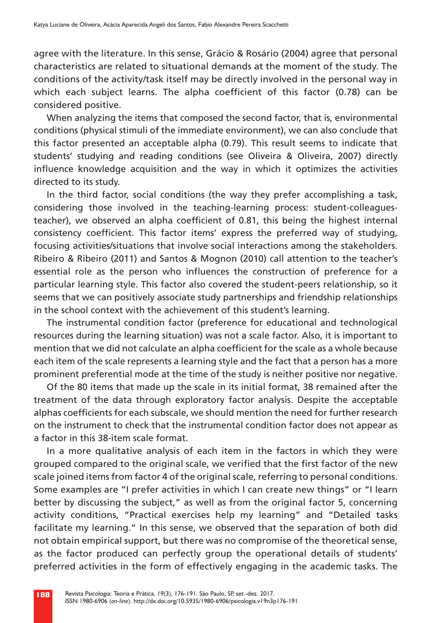agree with the literature. In this sense, Grácio & Rosário (2004) agree that personal characteristics are related to situational demands at the moment of the study. The conditions of the activity/task itself may be directly involved in the personal way in which each subject learns. The alpha coefficient of this factor (0.78) can be considered positive.

When analyzing the items that composed the second factor, that is, environmental conditions (physical stimuli of the immediate environment), we can also conclude that this factor presented an acceptable alpha (0.79). This result seems to indicate that students' studying and reading conditions (see Oliveira & Oliveira, 2007) directly influence knowledge acquisition and the way in which it optimizes the activities directed to its study.

In the third factor, social conditions (the way they prefer accomplishing a task, considering those involved in the teaching-learning process: student-colleaguesteacher), we observed an alpha coefficient of 0.81, this being the highest internal consistency coefficient. This factor items' express the preferred way of studying, focusing activities/situations that involve social interactions among the stakeholders. Ribeiro & Ribeiro (2011) and Santos & Mognon (2010) call attention to the teacher's essential role as the person who influences the construction of preference for a particular learning style. This factor also covered the student-peers relationship, so it seems that we can positively associate study partnerships and friendship relationships in the school context with the achievement of this student's learning.

The instrumental condition factor (preference for educational and technological resources during the learning situation) was not a scale factor. Also, it is important to mention that we did not calculate an alpha coefficient for the scale as a whole because each item of the scale represents a learning style and the fact that a person has a more prominent preferential mode at the time of the study is neither positive nor negative.

Of the 80 items that made up the scale in its initial format, 38 remained after the treatment of the data through exploratory factor analysis. Despite the acceptable alphas coefficients for each subscale, we should mention the need for further research on the instrument to check that the instrumental condition factor does not appear as a factor in this 38-item scale format.

In a more qualitative analysis of each item in the factors in which they were grouped compared to the original scale, we verified that the first factor of the new scale joined items from factor 4 of the original scale, referring to personal conditions. Some examples are "I prefer activities in which I can create new things" or "I learn better by discussing the subject," as well as from the original factor 5, concerning activity conditions, "Practical exercises help my learning" and "Detailed tasks facilitate my learning." In this sense, we observed that the separation of both did not obtain empirical support, but there was no compromise of the theoretical sense, as the factor produced can perfectly group the operational details of students' preferred activities in the form of effectively engaging in the academic tasks. The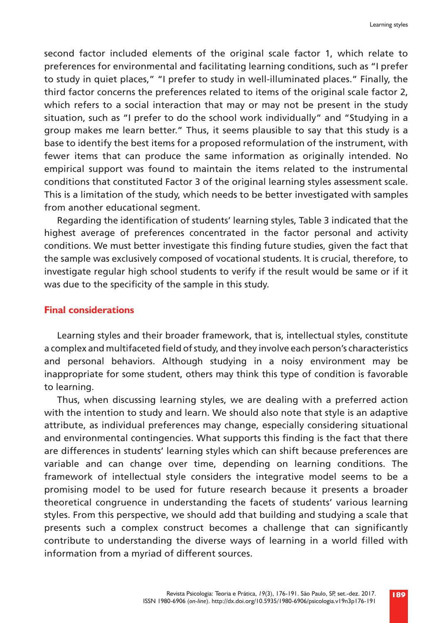second factor included elements of the original scale factor 1, which relate to preferences for environmental and facilitating learning conditions, such as "I prefer to study in quiet places," "I prefer to study in well-illuminated places." Finally, the third factor concerns the preferences related to items of the original scale factor 2, which refers to a social interaction that may or may not be present in the study situation, such as "I prefer to do the school work individually" and "Studying in a group makes me learn better." Thus, it seems plausible to say that this study is a base to identify the best items for a proposed reformulation of the instrument, with fewer items that can produce the same information as originally intended. No empirical support was found to maintain the items related to the instrumental conditions that constituted Factor 3 of the original learning styles assessment scale. This is a limitation of the study, which needs to be better investigated with samples from another educational segment.

Regarding the identification of students' learning styles, Table 3 indicated that the highest average of preferences concentrated in the factor personal and activity conditions. We must better investigate this finding future studies, given the fact that the sample was exclusively composed of vocational students. It is crucial, therefore, to investigate regular high school students to verify if the result would be same or if it was due to the specificity of the sample in this study.

#### **Final considerations**

Learning styles and their broader framework, that is, intellectual styles, constitute a complex and multifaceted field of study, and they involve each person's characteristics and personal behaviors. Although studying in a noisy environment may be inappropriate for some student, others may think this type of condition is favorable to learning.

Thus, when discussing learning styles, we are dealing with a preferred action with the intention to study and learn. We should also note that style is an adaptive attribute, as individual preferences may change, especially considering situational and environmental contingencies. What supports this finding is the fact that there are differences in students' learning styles which can shift because preferences are variable and can change over time, depending on learning conditions. The framework of intellectual style considers the integrative model seems to be a promising model to be used for future research because it presents a broader theoretical congruence in understanding the facets of students' various learning styles. From this perspective, we should add that building and studying a scale that presents such a complex construct becomes a challenge that can significantly contribute to understanding the diverse ways of learning in a world filled with information from a myriad of different sources.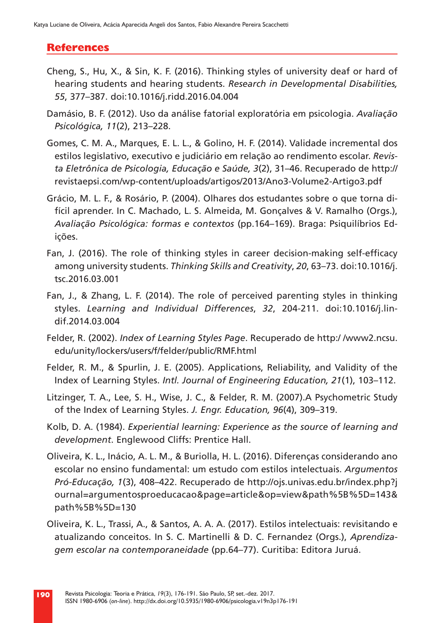# **References**

- Cheng, S., Hu, X., & Sin, K. F. (2016). Thinking styles of university deaf or hard of hearing students and hearing students. *Research in Developmental Disabilities, 55*, 377–387. doi:10.1016/j.ridd.2016.04.004
- Damásio, B. F. (2012). Uso da análise fatorial exploratória em psicologia. *Avaliação Psicológica, 11*(2), 213–228.
- Gomes, C. M. A., Marques, E. L. L., & Golino, H. F. (2014). Validade incremental dos estilos legislativo, executivo e judiciário em relação ao rendimento escolar. *Revista Eletrônica de Psicologia, Educação e Saúde, 3*(2), 31–46. Recuperado de http:// revistaepsi.com/wp-content/uploads/artigos/2013/Ano3-Volume2-Artigo3.pdf
- Grácio, M. L. F., & Rosário, P. (2004). Olhares dos estudantes sobre o que torna difícil aprender. In C. Machado, L. S. Almeida, M. Gonçalves & V. Ramalho (Orgs.), *Avaliação Psicológica: formas e contextos* (pp.164–169). Braga: Psiquilíbrios Edições.
- Fan, J. (2016). The role of thinking styles in career decision-making self-efficacy among university students. *Thinking Skills and Creativity*, *20*, 63–73. doi:10.1016/j. tsc.2016.03.001
- Fan, J., & Zhang, L. F. (2014). The role of perceived parenting styles in thinking styles. *Learning and Individual Differences*, *32*, 204-211. doi:10.1016/j.lindif.2014.03.004
- Felder, R. (2002). *Index of Learning Styles Page*. Recuperado de http:/ /www2.ncsu. edu/unity/lockers/users/f/felder/public/RMF.html
- Felder, R. M., & Spurlin, J. E. (2005). Applications, Reliability, and Validity of the Index of Learning Styles. *Intl. Journal of Engineering Education, 21*(1), 103–112.
- Litzinger, T. A., Lee, S. H., Wise, J. C., & Felder, R. M. (2007).A Psychometric Study of the Index of Learning Styles. *J. Engr. Education, 96*(4), 309–319.
- Kolb, D. A. (1984). *Experiential learning: Experience as the source of learning and development*. Englewood Cliffs: Prentice Hall.
- Oliveira, K. L., Inácio, A. L. M., & Buriolla, H. L. (2016). Diferenças considerando ano escolar no ensino fundamental: um estudo com estilos intelectuais. *Argumentos Pró-Educação, 1*(3), 408–422. Recuperado de http://ojs.univas.edu.br/index.php?j ournal=argumentosproeducacao&page=article&op=view&path%5B%5D=143& path%5B%5D=130
- Oliveira, K. L., Trassi, A., & Santos, A. A. A. (2017). Estilos intelectuais: revisitando e atualizando conceitos. In S. C. Martinelli & D. C. Fernandez (Orgs.), *Aprendizagem escolar na contemporaneidade* (pp.64–77). Curitiba: Editora Juruá.